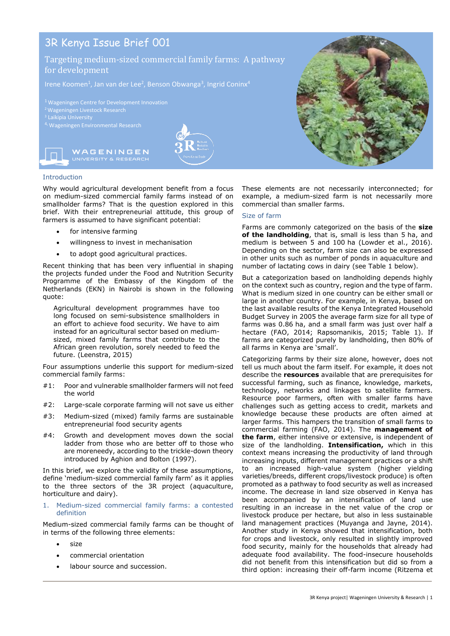# 3R Kenya Issue Brief 001

## Targeting medium-sized commercial family farms: A pathway for development

<sup>2</sup> Wageningen Livestock Research

4, Wageningen Environmental Research .



WAGENINGEN



## Introduction

Why would agricultural development benefit from a focus on medium-sized commercial family farms instead of on smallholder farms? That is the question explored in this brief. With their entrepreneurial attitude, this group of farmers is assumed to have significant potential:

- for intensive farming
- willingness to invest in mechanisation
- to adopt good agricultural practices.

Recent thinking that has been very influential in shaping the projects funded under the Food and Nutrition Security Programme of the Embassy of the Kingdom of the Netherlands (EKN) in Nairobi is shown in the following quote:

Agricultural development programmes have too long focused on semi-subsistence smallholders in an effort to achieve food security. We have to aim instead for an agricultural sector based on mediumsized, mixed family farms that contribute to the African green revolution, sorely needed to feed the future. (Leenstra, 2015)

Four assumptions underlie this support for medium-sized commercial family farms:

- #1: Poor and vulnerable smallholder farmers will not feed the world
- #2: Large-scale corporate farming will not save us either
- #3: Medium-sized (mixed) family farms are sustainable entrepreneurial food security agents
- #4: Growth and development moves down the social ladder from those who are better off to those who are moreneedy, according to the trickle-down theory introduced by Aghion and Bolton (1997).

In this brief, we explore the validity of these assumptions, define 'medium-sized commercial family farm' as it applies to the three sectors of the 3R project (aquaculture, horticulture and dairy).

1. Medium-sized commercial family farms: a contested definition

Medium-sized commercial family farms can be thought of in terms of the following three elements:

- size
- commercial orientation
- labour source and succession.



These elements are not necessarily interconnected; for example, a medium-sized farm is not necessarily more commercial than smaller farms.

## Size of farm

Farms are commonly categorized on the basis of the **size of the landholding**, that is, small is less than 5 ha, and medium is between 5 and 100 ha (Lowder et al., 2016). Depending on the sector, farm size can also be expressed in other units such as number of ponds in aquaculture and number of lactating cows in dairy (see Table 1 below).

But a categorization based on landholding depends highly on the context such as country, region and the type of farm. What is medium sized in one country can be either small or large in another country. For example, in Kenya, based on the last available results of the Kenya Integrated Household Budget Survey in 2005 the average farm size for all type of farms was 0.86 ha, and a small farm was just over half a hectare (FAO, 2014; Rapsomanikis, 2015; Table 1). If farms are categorized purely by landholding, then 80% of all farms in Kenya are 'small'.

Categorizing farms by their size alone, however, does not tell us much about the farm itself. For example, it does not describe the **resources** available that are prerequisites for successful farming, such as finance, knowledge, markets, technology, networks and linkages to satellite farmers. Resource poor farmers, often with smaller farms have challenges such as getting access to credit, markets and knowledge because these products are often aimed at larger farms. This hampers the transition of small farms to commercial farming (FAO, 2014). The **management of the farm**, either intensive or extensive, is independent of size of the landholding. **Intensification,** which in this context means increasing the productivity of land through increasing inputs, different management practices or a shift to an increased high-value system (higher yielding varieties/breeds, different crops/livestock produce) is often promoted as a pathway to food security as well as increased income. The decrease in land size observed in Kenya has been accompanied by an intensification of land use resulting in an increase in the net value of the crop or livestock produce per hectare, but also in less sustainable land management practices (Muyanga and Jayne, 2014). Another study in Kenya showed that intensification, both for crops and livestock, only resulted in slightly improved food security, mainly for the households that already had adequate food availability. The food-insecure households did not benefit from this intensification but did so from a third option: increasing their off-farm income (Ritzema et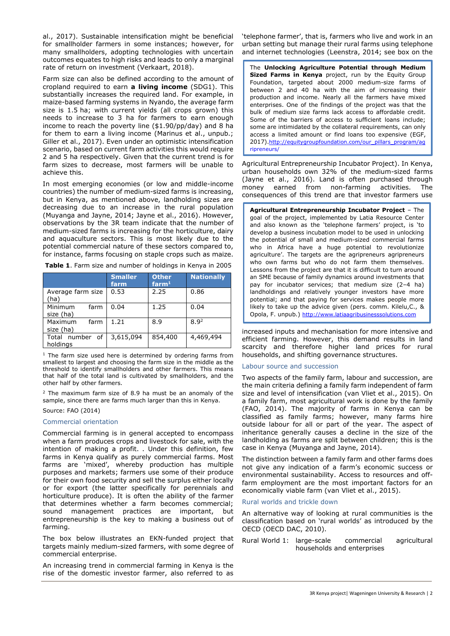al., 2017). Sustainable intensification might be beneficial for smallholder farmers in some instances; however, for many smallholders, adopting technologies with uncertain outcomes equates to high risks and leads to only a marginal rate of return on investment (Verkaart, 2018).

Farm size can also be defined according to the amount of cropland required to earn **a living income** (SDG1). This substantially increases the required land. For example, in maize-based farming systems in Nyando, the average farm size is 1.5 ha; with current yields (all crops grown) this needs to increase to 3 ha for farmers to earn enough income to reach the poverty line (\$1.90/pp/day) and 8 ha for them to earn a living income (Marinus et al., unpub.; Giller et al., 2017). Even under an optimistic intensification scenario, based on current farm activities this would require 2 and 5 ha respectively. Given that the current trend is for farm sizes to decrease, most farmers will be unable to achieve this.

In most emerging economies (or low and middle-income countries) the number of medium-sized farms is increasing, but in Kenya, as mentioned above, landholding sizes are decreasing due to an increase in the rural population (Muyanga and Jayne, 2014; Jayne et al., 2016). However, observations by the 3R team indicate that the number of medium-sized farms is increasing for the horticulture, dairy and aquaculture sectors. This is most likely due to the potential commercial nature of these sectors compared to, for instance, farms focusing on staple crops such as maize.

**Table 1**. Farm size and number of holdings in Kenya in 2005

|                              | <b>Smaller</b><br>farm | <b>Other</b><br>farm <sup>1</sup> | <b>Nationally</b> |
|------------------------------|------------------------|-----------------------------------|-------------------|
| Average farm size<br>'ha)    | 0.53                   | 2.25                              | 0.86              |
| Minimum<br>farm<br>size (ha) | 0.04                   | 1.25                              | 0.04              |
| Maximum<br>farm<br>size (ha) | 1.21                   | 8.9                               | 8.9 <sup>2</sup>  |
| Total number of<br>holdings  | 3,615,094              | 854,400                           | 4,469,494         |

<sup>1</sup> The farm size used here is determined by ordering farms from smallest to largest and choosing the farm size in the middle as the threshold to identify smallholders and other farmers. This means that half of the total land is cultivated by smallholders, and the other half by other farmers.

 $2$  The maximum farm size of 8.9 ha must be an anomaly of the sample, since there are farms much larger than this in Kenya.

## Source: FAO (2014)

#### Commercial orientation

Commercial farming is in general accepted to encompass when a farm produces crops and livestock for sale, with the intention of making a profit. . Under this definition, few farms in Kenya qualify as purely commercial farms. Most farms are 'mixed', whereby production has multiple purposes and markets; farmers use some of their produce for their own food security and sell the surplus either locally or for export (the latter specifically for perennials and horticulture produce). It is often the ability of the farmer that determines whether a farm becomes commercial; sound management practices are important, but entrepreneurship is the key to making a business out of farming.

The box below illustrates an EKN-funded project that targets mainly medium-sized farmers, with some degree of commercial enterprise.

An increasing trend in commercial farming in Kenya is the rise of the domestic investor farmer, also referred to as 'telephone farmer', that is, farmers who live and work in an urban setting but manage their rural farms using telephone and internet technologies (Leenstra, 2014; see box on the

The **Unlocking Agriculture Potential through Medium Sized Farms in Kenya** project, run by the Equity Group Foundation, targeted about 2000 medium-size farms of between 2 and 40 ha with the aim of increasing their production and income. Nearly all the farmers have mixed enterprises. One of the findings of the project was that the bulk of medium size farms lack access to affordable credit. Some of the barriers of access to sufficient loans include; some are intimidated by the collateral requirements, can only access a limited amount or find loans too expensive (EGF, 2017).http://equitygroupfoundation.com/our\_pillars\_program/aq ripreneurs/

Agricultural Entrepreneurship Incubator Project). In Kenya, urban households own 32% of the medium-sized farms (Jayne et al., 2016). Land is often purchased through money earned from non-farming activities. The consequences of this trend are that investor farmers use

**Agricultural Entrepreneurship Incubator Project** – The goal of the project, implemented by Latia Resource Center and also known as the 'telephone farmers' project, is 'to develop a business incubation model to be used in unlocking the potential of small and medium-sized commercial farms who in Africa have a huge potential to revolutionize agriculture'. The targets are the agripreneurs agripreneurs who own farms but who do not farm them themselves. Lessons from the project are that it is difficult to turn around an SME because of family dynamics around investments that pay for incubator services; that medium size (2–4 ha) landholdings and relatively younger investors have more potential; and that paying for services makes people more likely to take up the advice given (pers. comm. Kilelu,C., & Opola, F. unpub.) [http://www.latiaagribusinesssolutions.com](http://www.latiaagribusinesssolutions.com/)

increased inputs and mechanisation for more intensive and efficient farming. However, this demand results in land scarcity and therefore higher land prices for rural households, and shifting governance structures.

## Labour source and succession

Two aspects of the family farm, labour and succession, are the main criteria defining a family farm independent of farm size and level of intensification (van Vliet et al., 2015). On a family farm, most agricultural work is done by the family (FAO, 2014). The majority of farms in Kenya can be classified as family farms; however, many farms hire outside labour for all or part of the year. The aspect of inheritance generally causes a decline in the size of the landholding as farms are split between children; this is the case in Kenya (Muyanga and Jayne, 2014).

The distinction between a family farm and other farms does not give any indication of a farm's economic success or environmental sustainability. Access to resources and offfarm employment are the most important factors for an economically viable farm (van Vliet et al., 2015).

## Rural worlds and trickle down

An alternative way of looking at rural communities is the classification based on 'rural worlds' as introduced by the OECD (OECD DAC, 2010).

Rural World 1: large-scale commercial agricultural households and enterprises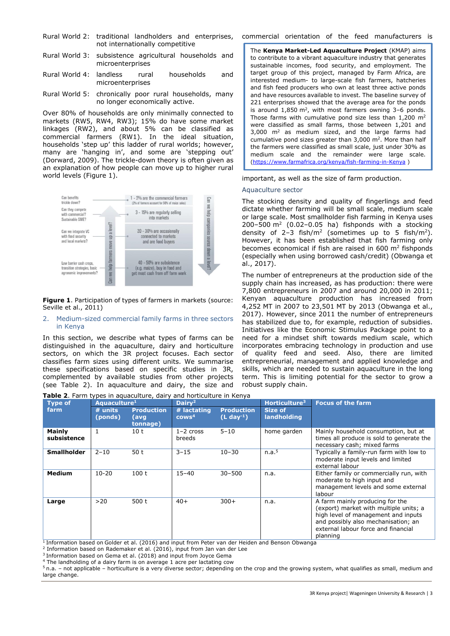- Rural World 2: traditional landholders and enterprises, not internationally competitive
- Rural World 3: subsistence agricultural households and microenterprises
- Rural World 4: landless rural households and microenterprises
- Rural World 5: chronically poor rural households, many no longer economically active.

Over 80% of households are only minimally connected to markets (RW5, RW4, RW3); 15% do have some market linkages (RW2), and about 5% can be classified as commercial farmers (RW1). In the ideal situation, households 'step up' this ladder of rural worlds; however, many are 'hanging in', and some are 'stepping out' (Dorward, 2009). The trickle-down theory is often given as an explanation of how people can move up to higher rural world levels (Figure 1).



**Figure 1**. Participation of types of farmers in markets (source: Seville et al., 2011)

#### 2. Medium-sized commercial family farms in three sectors in Kenya

In this section, we describe what types of farms can be distinguished in the aquaculture, dairy and horticulture sectors, on which the 3R project focuses. Each sector classifies farm sizes using different units. We summarise these specifications based on specific studies in 3R, complemented by available studies from other projects (see Table 2). In aquaculture and dairy, the size and

**Table 2**. Farm types in aquaculture, dairy and horticulture in Kenya

commercial orientation of the feed manufacturers is

The **Kenya Market-Led Aquaculture Project** (KMAP) aims to contribute to a vibrant aquaculture industry that generates sustainable incomes, food security, and employment. The target group of this project, managed by Farm Africa, are interested medium- to large-scale fish farmers, hatcheries and fish feed producers who own at least three active ponds and have resources available to invest. The baseline survey of 221 enterprises showed that the average area for the ponds is around  $1,850$  m<sup>2</sup>, with most farmers owning  $3-6$  ponds. Those farms with cumulative pond size less than 1,200 m<sup>2</sup> were classified as small farms, those between 1,201 and 3,000 m<sup>2</sup> as medium sized, and the large farms had cumulative pond sizes greater than  $3,000$  m<sup>2</sup>. More than half the farmers were classified as small scale, just under 30% as medium scale and the remainder were large scale. [\(https://www.farmafrica.org/kenya/fish-farming-in-Kenya](https://www.farmafrica.org/kenya/fish-farming-in-Kenya) )

important, as well as the size of farm production.

#### Aquaculture sector

The stocking density and quality of fingerlings and feed dictate whether farming will be small scale, medium scale or large scale. Most smallholder fish farming in Kenya uses  $200 - 500$  m<sup>2</sup> (0.02-0.05 ha) fishponds with a stocking density of  $2-3$  fish/m<sup>2</sup> (sometimes up to 5 fish/m<sup>2</sup>). However, it has been established that fish farming only becomes economical if fish are raised in 600 m<sup>2</sup> fishponds (especially when using borrowed cash/credit) (Obwanga et al., 2017).

The number of entrepreneurs at the production side of the supply chain has increased, as has production: there were 7,800 entrepreneurs in 2007 and around 20,000 in 2011; Kenyan aquaculture production has increased from 4,252 MT in 2007 to 23,501 MT by 2013 (Obwanga et al., 2017). However, since 2011 the number of entrepreneurs has stabilized due to, for example, reduction of subsidies. Initiatives like the Economic Stimulus Package point to a need for a mindset shift towards medium scale, which incorporates embracing technology in production and use of quality feed and seed. Also, there are limited entrepreneurial, management and applied knowledge and skills, which are needed to sustain aquaculture in the long term. This is limiting potential for the sector to grow a robust supply chain.

| Type of                      | <b>Table 2.</b> Tallii types in aquacaitare, aally and norticaltare in Kerrya<br>Aquaculture <sup>1</sup> |                                       | Dairy <sup>2</sup>             |                                  | Horticulture <sup>3</sup> | <b>Focus of the farm</b>                                                                                                                                                                                   |
|------------------------------|-----------------------------------------------------------------------------------------------------------|---------------------------------------|--------------------------------|----------------------------------|---------------------------|------------------------------------------------------------------------------------------------------------------------------------------------------------------------------------------------------------|
| farm                         | $#$ units<br>(ponds)                                                                                      | <b>Production</b><br>(avg<br>tonnage) | # lactating<br>$\text{rows}^4$ | <b>Production</b><br>$(L day-1)$ | Size of<br>landholding    |                                                                                                                                                                                                            |
| <b>Mainly</b><br>subsistence | $\mathbf{1}$                                                                                              | 10 t                                  | $1 - 2$ cross<br>breeds        | $5 - 10$                         | home garden               | Mainly household consumption, but at<br>times all produce is sold to generate the<br>necessary cash; mixed farms                                                                                           |
| <b>Smallholder</b>           | $2 - 10$                                                                                                  | 50t                                   | $3 - 15$                       | $10 - 30$                        | n.a. <sup>5</sup>         | Typically a family-run farm with low to<br>moderate input levels and limited<br>external labour                                                                                                            |
| <b>Medium</b>                | $10 - 20$                                                                                                 | 100t                                  | $15 - 40$                      | $30 - 500$                       | n.a.                      | Either family or commercially run, with<br>moderate to high input and<br>management levels and some external<br>labour                                                                                     |
| Large                        | >20                                                                                                       | 500 t                                 | $40+$                          | $300+$                           | n.a.                      | A farm mainly producing for the<br>(export) market with multiple units; a<br>high level of management and inputs<br>and possibly also mechanisation; an<br>external labour force and financial<br>planning |

<sup>1</sup> Information based on Golder et al. (2016) and input from Peter van der Heiden and Benson Obwanga

2 Information based on Rademaker et al. (2016), input from Jan van der Lee

<sup>3</sup> Information based on Gema et al. (2018) and input from Joyce Gema

<sup>4</sup> The landholding of a dairy farm is on average 1 acre per lactating cow

<sup>5</sup>n.a. – not applicable – horticulture is a very diverse sector; depending on the crop and the growing system, what qualifies as small, medium and large change.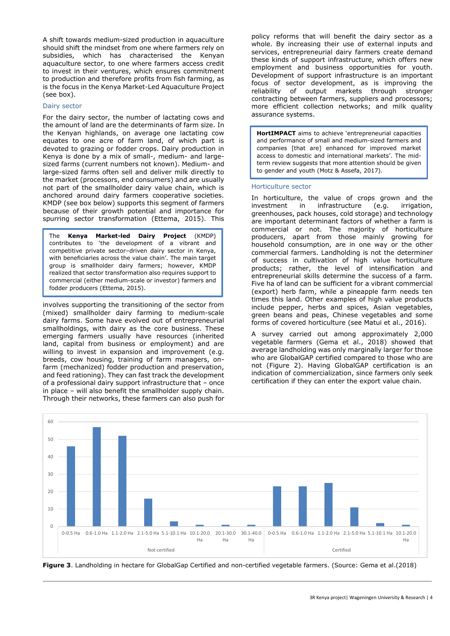A shift towards medium-sized production in aquaculture should shift the mindset from one where farmers rely on subsidies, which has characterised the Kenyan aquaculture sector, to one where farmers access credit to invest in their ventures, which ensures commitment to production and therefore profits from fish farming, as is the focus in the Kenya Market-Led Aquaculture Project (see box).

## Dairy sector

For the dairy sector, the number of lactating cows and the amount of land are the determinants of farm size. In the Kenyan highlands, on average one lactating cow equates to one acre of farm land, of which part is devoted to grazing or fodder crops. Dairy production in Kenya is done by a mix of small-, medium- and largesized farms (current numbers not known). Medium- and large-sized farms often sell and deliver milk directly to the market (processors, end consumers) and are usually not part of the smallholder dairy value chain, which is anchored around dairy farmers cooperative societies. KMDP (see box below) supports this segment of farmers because of their growth potential and importance for spurring sector transformation (Ettema, 2015). This

The **Kenya Market-led Dairy Project** (KMDP) contributes to 'the development of a vibrant and competitive private sector–driven dairy sector in Kenya, with beneficiaries across the value chain'. The main target group is smallholder dairy farmers; however, KMDP realized that sector transformation also requires support to commercial (either medium-scale or investor) farmers and fodder producers (Ettema, 2015).

involves supporting the transitioning of the sector from (mixed) smallholder dairy farming to medium-scale dairy farms. Some have evolved out of entrepreneurial smallholdings, with dairy as the core business. These emerging farmers usually have resources (inherited land, capital from business or employment) and are willing to invest in expansion and improvement (e.g. breeds, cow housing, training of farm managers, onfarm (mechanized) fodder production and preservation, and feed rationing). They can fast track the development of a professional dairy support infrastructure that – once in place – will also benefit the smallholder supply chain. Through their networks, these farmers can also push for

policy reforms that will benefit the dairy sector as a whole. By increasing their use of external inputs and services, entrepreneurial dairy farmers create demand these kinds of support infrastructure, which offers new employment and business opportunities for youth. Development of support infrastructure is an important focus of sector development, as is improving the reliability of output markets through stronger contracting between farmers, suppliers and processors; more efficient collection networks; and milk quality assurance systems.

**HortIMPACT** aims to achieve 'entrepreneurial capacities and performance of small and medium-sized farmers and companies [that are] enhanced for improved market access to domestic and international markets'. The midterm review suggests that more attention should be given to gender and youth (Motz & Assefa, 2017).

## Horticulture sector

In horticulture, the value of crops grown and the investment in infrastructure (e.g. irrigation, greenhouses, pack houses, cold storage) and technology are important determinant factors of whether a farm is commercial or not. The majority of horticulture producers, apart from those mainly growing for household consumption, are in one way or the other commercial farmers. Landholding is not the determiner of success in cultivation of high value horticulture products; rather, the level of intensification and entrepreneurial skills determine the success of a farm. Five ha of land can be sufficient for a vibrant commercial (export) herb farm, while a pineapple farm needs ten times this land. Other examples of high value products include pepper, herbs and spices, Asian vegetables, green beans and peas, Chinese vegetables and some forms of covered horticulture (see Matui et al., 2016).

A survey carried out among approximately 2,000 vegetable farmers (Gema et al., 2018) showed that average landholding was only marginally larger for those who are GlobalGAP certified compared to those who are not (Figure 2). Having GlobalGAP certification is an indication of commercialization, since farmers only seek certification if they can enter the export value chain.



**Figure 3**. Landholding in hectare for GlobalGap Certified and non-certified vegetable farmers. (Source: Gema et al.(2018)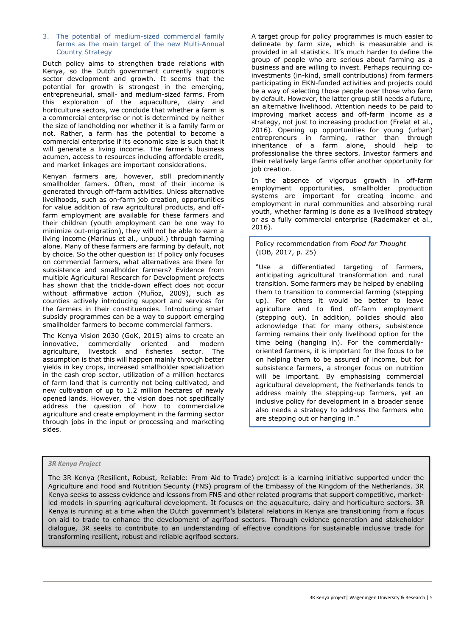## 3. The potential of medium-sized commercial family farms as the main target of the new Multi-Annual Country Strategy

Dutch policy aims to strengthen trade relations with Kenya, so the Dutch government currently supports sector development and growth. It seems that the potential for growth is strongest in the emerging, entrepreneurial, small- and medium-sized farms. From this exploration of the aquaculture, dairy and horticulture sectors, we conclude that whether a farm is a commercial enterprise or not is determined by neither the size of landholding nor whether it is a family farm or not. Rather, a farm has the potential to become a commercial enterprise if its economic size is such that it will generate a living income. The farmer's business acumen, access to resources including affordable credit, and market linkages are important considerations.

Kenyan farmers are, however, still predominantly smallholder famers. Often, most of their income is generated through off-farm activities. Unless alternative livelihoods, such as on-farm job creation, opportunities for value addition of raw agricultural products, and offfarm employment are available for these farmers and their children (youth employment can be one way to minimize out-migration), they will not be able to earn a living income (Marinus et al., unpubl.) through farming alone. Many of these farmers are farming by default, not by choice. So the other question is: If policy only focuses on commercial farmers, what alternatives are there for subsistence and smallholder farmers? Evidence from multiple Agricultural Research for Development projects has shown that the trickle-down effect does not occur without affirmative action (Muñoz, 2009), such as counties actively introducing support and services for the farmers in their constituencies. Introducing smart subsidy programmes can be a way to support emerging smallholder farmers to become commercial farmers.

The Kenya Vision 2030 (GoK, 2015) aims to create an innovative, commercially oriented and modern agriculture, livestock and fisheries sector. The assumption is that this will happen mainly through better yields in key crops, increased smallholder specialization in the cash crop sector, utilization of a million hectares of farm land that is currently not being cultivated, and new cultivation of up to 1.2 million hectares of newly opened lands. However, the vision does not specifically address the question of how to commercialize agriculture and create employment in the farming sector through jobs in the input or processing and marketing sides.

A target group for policy programmes is much easier to delineate by farm size, which is measurable and is provided in all statistics. It's much harder to define the group of people who are serious about farming as a business and are willing to invest. Perhaps requiring coinvestments (in-kind, small contributions) from farmers participating in EKN-funded activities and projects could be a way of selecting those people over those who farm by default. However, the latter group still needs a future, an alternative livelihood. Attention needs to be paid to improving market access and off-farm income as a strategy, not just to increasing production (Frelat et al., 2016). Opening up opportunities for young (urban) entrepreneurs in farming, rather than through inheritance of a farm alone, should help to professionalise the three sectors. Investor farmers and their relatively large farms offer another opportunity for job creation.

In the absence of vigorous growth in off-farm employment opportunities, smallholder production systems are important for creating income and employment in rural communities and absorbing rural youth, whether farming is done as a livelihood strategy or as a fully commercial enterprise (Rademaker et al., 2016).

Policy recommendation from *Food for Thought* (IOB, 2017, p. 25)

"Use a differentiated targeting of farmers, anticipating agricultural transformation and rural transition. Some farmers may be helped by enabling them to transition to commercial farming (stepping up). For others it would be better to leave agriculture and to find off-farm employment (stepping out). In addition, policies should also acknowledge that for many others, subsistence farming remains their only livelihood option for the time being (hanging in). For the commerciallyoriented farmers, it is important for the focus to be on helping them to be assured of income, but for subsistence farmers, a stronger focus on nutrition will be important. By emphasising commercial agricultural development, the Netherlands tends to address mainly the stepping-up farmers, yet an inclusive policy for development in a broader sense also needs a strategy to address the farmers who are stepping out or hanging in."

## *3R Kenya Project*

The 3R Kenya (Resilient, Robust, Reliable: From Aid to Trade) project is a learning initiative supported under the Agriculture and Food and Nutrition Security (FNS) program of the Embassy of the Kingdom of the Netherlands. 3R Kenya seeks to assess evidence and lessons from FNS and other related programs that support competitive, marketled models in spurring agricultural development. It focuses on the aquaculture, dairy and horticulture sectors. 3R Kenya is running at a time when the Dutch government's bilateral relations in Kenya are transitioning from a focus on aid to trade to enhance the development of agrifood sectors. Through evidence generation and stakeholder dialogue, 3R seeks to contribute to an understanding of effective conditions for sustainable inclusive trade for transforming resilient, robust and reliable agrifood sectors.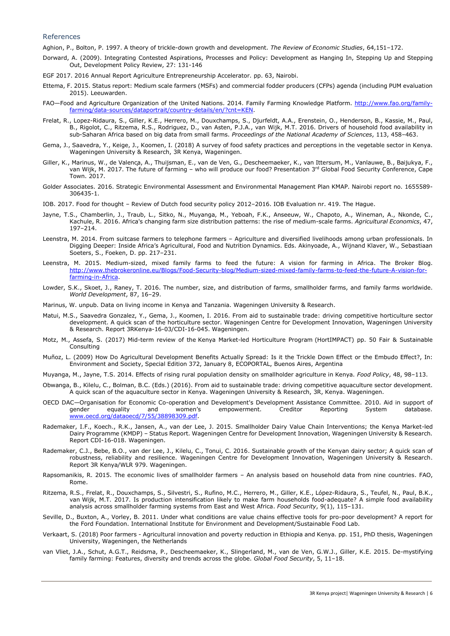#### References

Aghion, P., Bolton, P. 1997. A theory of trickle-down growth and development. *The Review of Economic Studies*, 64,151–172.

- Dorward, A. (2009). Integrating Contested Aspirations, Processes and Policy: Development as Hanging In, Stepping Up and Stepping Out, Development Policy Review, 27: 131-146
- EGF 2017. 2016 Annual Report Agriculture Entrepreneurship Accelerator. pp. 63, Nairobi.
- Ettema, F. 2015. Status report: Medium scale farmers (MSFs) and commercial fodder producers (CFPs) agenda (including PUM evaluation 2015). Leeuwarden.
- FAO—Food and Agriculture Organization of the United Nations. 2014. Family Farming Knowledge Platform. [http://www.fao.org/family](http://www.fao.org/family-farming/data-sources/dataportrait/country-details/en/?cnt=KEN)[farming/data-sources/dataportrait/country-details/en/?cnt=KEN.](http://www.fao.org/family-farming/data-sources/dataportrait/country-details/en/?cnt=KEN)
- Frelat, R., Lopez-Ridaura, S., Giller, K.E., Herrero, M., Douxchamps, S., Djurfeldt, A.A., Erenstein, O., Henderson, B., Kassie, M., Paul, B., Rigolot, C., Ritzema, R.S., Rodriguez, D., van Asten, P.J.A., van Wijk, M.T. 2016. Drivers of household food availability in sub-Saharan Africa based on big data from small farms. *Proceedings of the National Academy of Sciences*, 113, 458–463.
- Gema, J., Saavedra, Y., Keige, J., Koomen, I. (2018) A survey of food safety practices and perceptions in the vegetable sector in Kenya. Wageningen University & Research, 3R Kenya, Wageningen.
- Giller, K., Marinus, W., de Valença, A., Thuijsman, E., van de Ven, G., Descheemaeker, K., van Ittersum, M., Vanlauwe, B., Baijukya, F., van Wijk, M. 2017. The future of farming – who will produce our food? Presentation 3rd Global Food Security Conference, Cape Town. 2017.
- Golder Associates. 2016. Strategic Environmental Assessment and Environmental Management Plan KMAP. Nairobi report no. 1655589- 306435-1.
- IOB. 2017. Food for thought Review of Dutch food security policy 2012–2016. IOB Evaluation nr. 419. The Hague.
- Jayne, T.S., Chamberlin, J., Traub, L., Sitko, N., Muyanga, M., Yeboah, F.K., Anseeuw, W., Chapoto, A., Wineman, A., Nkonde, C., Kachule, R. 2016. Africa's changing farm size distribution patterns: the rise of medium-scale farms. *Agricultural Economics*, 47, 197–214.
- Leenstra, M. 2014. From suitcase farmers to telephone farmers Agriculture and diversified livelihoods among urban professionals. In Digging Deeper: Inside Africa's Agricultural, Food and Nutrition Dynamics. Eds. Akinyoade, A., Wijnand Klaver, W., Sebastiaan Soeters, S., Foeken, D. pp. 217–231.
- Leenstra, M. 2015. Medium-sized, mixed family farms to feed the future: A vision for farming in Africa. The Broker Blog. [http://www.thebrokeronline.eu/Blogs/Food-Security-blog/Medium-sized-mixed-family-farms-to-feed-the-future-A-vision-for](http://www.thebrokeronline.eu/Blogs/Food-Security-blog/Medium-sized-mixed-family-farms-to-feed-the-future-A-vision-for-farming-in-Africa)[farming-in-Africa.](http://www.thebrokeronline.eu/Blogs/Food-Security-blog/Medium-sized-mixed-family-farms-to-feed-the-future-A-vision-for-farming-in-Africa)
- Lowder, S.K., Skoet, J., Raney, T. 2016. The number, size, and distribution of farms, smallholder farms, and family farms worldwide. *World Development*, 87, 16–29.
- Marinus, W. unpub. Data on living income in Kenya and Tanzania. Wageningen University & Research.
- Matui, M.S., Saavedra Gonzalez, Y., Gema, J., Koomen, I. 2016. From aid to sustainable trade: driving competitive horticulture sector development. A quick scan of the horticulture sector. Wageningen Centre for Development Innovation, Wageningen University & Research. Report 3RKenya-16-03/CDI-16-045. Wageningen.
- Motz, M., Assefa, S. (2017) Mid-term review of the Kenya Market-led Horticulture Program (HortIMPACT) pp. 50 Fair & Sustainable Consulting
- Muñoz, L. (2009) How Do Agricultural Development Benefits Actually Spread: Is it the Trickle Down Effect or the Embudo Effect?, In: Environment and Society, Special Edition 372, January 8, ECOPORTAL, Buenos Aires, Argentina
- Muyanga, M., Jayne, T.S. 2014. Effects of rising rural population density on smallholder agriculture in Kenya. *Food Policy*, 48, 98–113.
- Obwanga, B., Kilelu, C., Bolman, B.C. (Eds.) (2016). From aid to sustainable trade: driving competitive aquaculture sector development. A quick scan of the aquaculture sector in Kenya. Wageningen University & Research, 3R, Kenya. Wageningen.
- OECD DAC—Organisation for Economic Co-operation and Development's Development Assistance Committee. 2010. Aid in support of empowerment. [www.oecd.org/dataoecd/7/55/38898309.pdf.](http://www.oecd.org/dataoecd/7/55/38898309.pdf)
- Rademaker, I.F., Koech., R.K., Jansen, A., van der Lee, J. 2015. Smallholder Dairy Value Chain Interventions; the Kenya Market-led Dairy Programme (KMDP) – Status Report. Wageningen Centre for Development Innovation, Wageningen University & Research. Report CDI-16-018. Wageningen.
- Rademaker, C.J., Bebe, B.O., van der Lee, J., Kilelu, C., Tonui, C. 2016. Sustainable growth of the Kenyan dairy sector; A quick scan of robustness, reliability and resilience. Wageningen Centre for Development Innovation, Wageningen University & Research. Report 3R Kenya/WLR 979. Wageningen.
- Rapsomanikis, R. 2015. The economic lives of smallholder farmers An analysis based on household data from nine countries. FAO, Rome.
- Ritzema, R.S., Frelat, R., Douxchamps, S., Silvestri, S., Rufino, M.C., Herrero, M., Giller, K.E., López-Ridaura, S., Teufel, N., Paul, B.K., van Wijk, M.T. 2017. Is production intensification likely to make farm households food-adequate? A simple food availability analysis across smallholder farming systems from East and West Africa. *Food Security*, 9(1), 115–131.
- Seville, D., Buxton, A., Vorley, B. 2011. Under what conditions are value chains effective tools for pro-poor development? A report for the Ford Foundation. International Institute for Environment and Development/Sustainable Food Lab.
- Verkaart, S. (2018) Poor farmers Agricultural innovation and poverty reduction in Ethiopia and Kenya. pp. 151, PhD thesis, Wageningen University, Wageningen, the Netherlands
- van Vliet, J.A., Schut, A.G.T., Reidsma, P., Descheemaeker, K., Slingerland, M., van de Ven, G.W.J., Giller, K.E. 2015. De-mystifying family farming: Features, diversity and trends across the globe. *Global Food Security*, 5, 11–18.